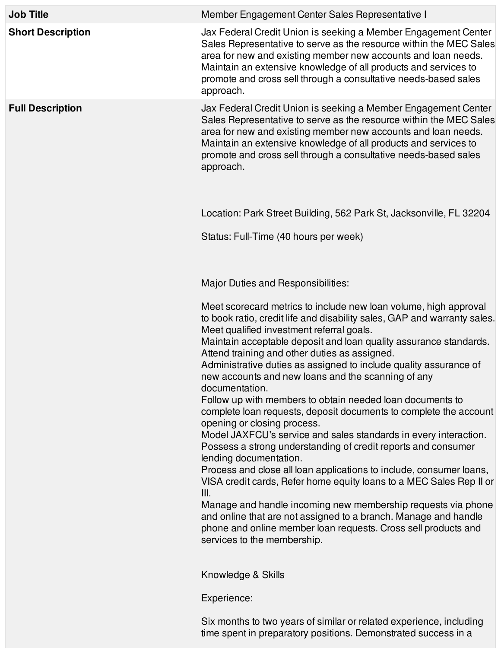| <b>Job Title</b>         | Member Engagement Center Sales Representative I                                                                                                                                                                                                                                                                                                                                                                                                                                                                                                                                                                                                                                                                                                                                                                                                                                                                                                                                                                                                                                                                                                                                        |
|--------------------------|----------------------------------------------------------------------------------------------------------------------------------------------------------------------------------------------------------------------------------------------------------------------------------------------------------------------------------------------------------------------------------------------------------------------------------------------------------------------------------------------------------------------------------------------------------------------------------------------------------------------------------------------------------------------------------------------------------------------------------------------------------------------------------------------------------------------------------------------------------------------------------------------------------------------------------------------------------------------------------------------------------------------------------------------------------------------------------------------------------------------------------------------------------------------------------------|
| <b>Short Description</b> | Jax Federal Credit Union is seeking a Member Engagement Center<br>Sales Representative to serve as the resource within the MEC Sales<br>area for new and existing member new accounts and loan needs.<br>Maintain an extensive knowledge of all products and services to<br>promote and cross sell through a consultative needs-based sales<br>approach.                                                                                                                                                                                                                                                                                                                                                                                                                                                                                                                                                                                                                                                                                                                                                                                                                               |
| <b>Full Description</b>  | Jax Federal Credit Union is seeking a Member Engagement Center<br>Sales Representative to serve as the resource within the MEC Sales<br>area for new and existing member new accounts and loan needs.<br>Maintain an extensive knowledge of all products and services to<br>promote and cross sell through a consultative needs-based sales<br>approach.                                                                                                                                                                                                                                                                                                                                                                                                                                                                                                                                                                                                                                                                                                                                                                                                                               |
|                          | Location: Park Street Building, 562 Park St, Jacksonville, FL 32204                                                                                                                                                                                                                                                                                                                                                                                                                                                                                                                                                                                                                                                                                                                                                                                                                                                                                                                                                                                                                                                                                                                    |
|                          | Status: Full-Time (40 hours per week)                                                                                                                                                                                                                                                                                                                                                                                                                                                                                                                                                                                                                                                                                                                                                                                                                                                                                                                                                                                                                                                                                                                                                  |
|                          | Major Duties and Responsibilities:                                                                                                                                                                                                                                                                                                                                                                                                                                                                                                                                                                                                                                                                                                                                                                                                                                                                                                                                                                                                                                                                                                                                                     |
|                          | Meet scorecard metrics to include new loan volume, high approval<br>to book ratio, credit life and disability sales, GAP and warranty sales.<br>Meet qualified investment referral goals.<br>Maintain acceptable deposit and loan quality assurance standards.<br>Attend training and other duties as assigned.<br>Administrative duties as assigned to include quality assurance of<br>new accounts and new loans and the scanning of any<br>documentation.<br>Follow up with members to obtain needed loan documents to<br>complete loan requests, deposit documents to complete the account<br>opening or closing process.<br>Model JAXFCU's service and sales standards in every interaction.<br>Possess a strong understanding of credit reports and consumer<br>lending documentation.<br>Process and close all loan applications to include, consumer loans,<br>VISA credit cards, Refer home equity loans to a MEC Sales Rep II or<br>III.<br>Manage and handle incoming new membership requests via phone<br>and online that are not assigned to a branch. Manage and handle<br>phone and online member loan requests. Cross sell products and<br>services to the membership. |
|                          | Knowledge & Skills                                                                                                                                                                                                                                                                                                                                                                                                                                                                                                                                                                                                                                                                                                                                                                                                                                                                                                                                                                                                                                                                                                                                                                     |
|                          | Experience:                                                                                                                                                                                                                                                                                                                                                                                                                                                                                                                                                                                                                                                                                                                                                                                                                                                                                                                                                                                                                                                                                                                                                                            |

Six months to two years of similar or related experience, including time spent in preparatory positions. Demonstrated success in a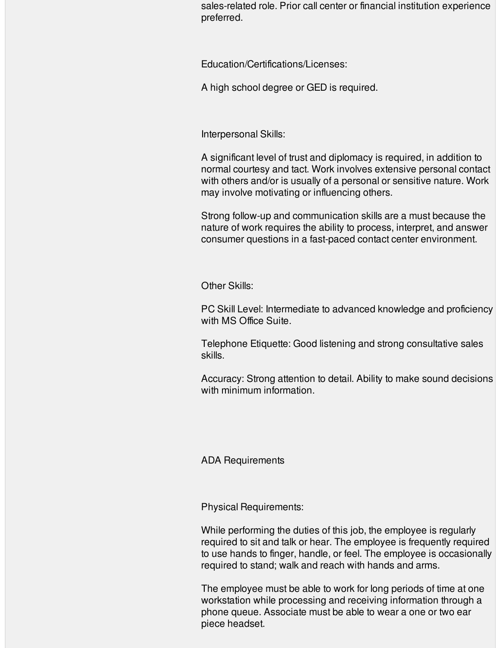sales-related role. Prior call center or financial institution experience preferred.

Education/Certifications/Licenses:

A high school degree or GED is required.

Interpersonal Skills:

A significant level of trust and diplomacy is required, in addition to normal courtesy and tact. Work involves extensive personal contact with others and/or is usually of a personal or sensitive nature. Work may involve motivating or influencing others.

Strong follow-up and communication skills are a must because the nature of work requires the ability to process, interpret, and answer consumer questions in a fast-paced contact center environment.

Other Skills:

PC Skill Level: Intermediate to advanced knowledge and proficiency with MS Office Suite.

Telephone Etiquette: Good listening and strong consultative sales skills.

Accuracy: Strong attention to detail. Ability to make sound decisions with minimum information.

ADA Requirements

Physical Requirements:

While performing the duties of this job, the employee is regularly required to sit and talk or hear. The employee is frequently required to use hands to finger, handle, or feel. The employee is occasionally required to stand; walk and reach with hands and arms.

The employee must be able to work for long periods of time at one workstation while processing and receiving information through a phone queue. Associate must be able to wear a one or two ear piece headset.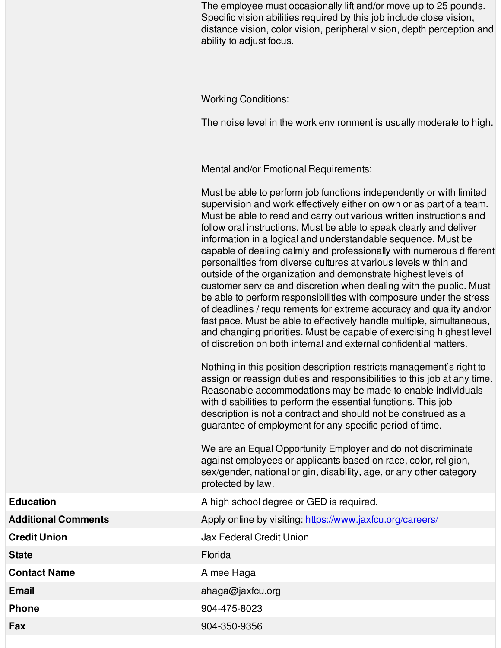The employee must occasionally lift and/or move up to 25 pounds. Specific vision abilities required by this job include close vision, distance vision, color vision, peripheral vision, depth perception and ability to adjust focus.

Working Conditions:

The noise level in the work environment is usually moderate to high.

Mental and/or Emotional Requirements:

Must be able to perform job functions independently or with limited supervision and work effectively either on own or as part of a team. Must be able to read and carry out various written instructions and follow oral instructions. Must be able to speak clearly and deliver information in a logical and understandable sequence. Must be capable of dealing calmly and professionally with numerous different personalities from diverse cultures at various levels within and outside of the organization and demonstrate highest levels of customer service and discretion when dealing with the public. Must be able to perform responsibilities with composure under the stress of deadlines / requirements for extreme accuracy and quality and/or fast pace. Must be able to effectively handle multiple, simultaneous, and changing priorities. Must be capable of exercising highest level of discretion on both internal and external confidential matters.

Nothing in this position description restricts management's right to assign or reassign duties and responsibilities to this job at any time. Reasonable accommodations may be made to enable individuals with disabilities to perform the essential functions. This job description is not a contract and should not be construed as a guarantee of employment for any specific period of time.

We are an Equal Opportunity Employer and do not discriminate against employees or applicants based on race, color, religion, sex/gender, national origin, disability, age, or any other category protected by law.

Education **Education** A high school degree or GED is required.

**Additional Comments** Apply online by visiting: <https://www.jaxfcu.org/careers/>

**Credit Union** Jax Federal Credit Union

**State** Florida

**Email** ahaga@jaxfcu.org

**Phone** 904-475-8023

**Fax** 904-350-9356

| Equcation |  |  |  |  |
|-----------|--|--|--|--|
|           |  |  |  |  |

**Contact Name** Aimee Haga